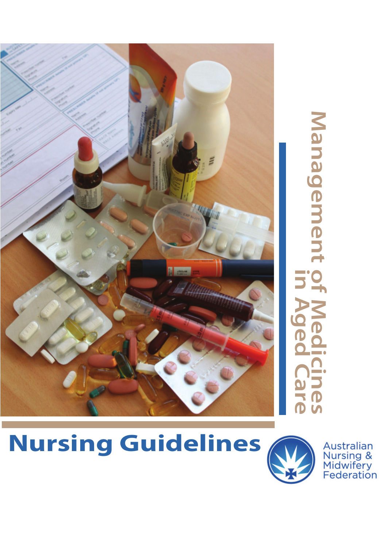

Management **Management of Medicines in Aged Care** 5.5 pec **Des** 

Australian<br>Nursing &<br>Midwifery<br>Federation

# **Nursing Guidelines**

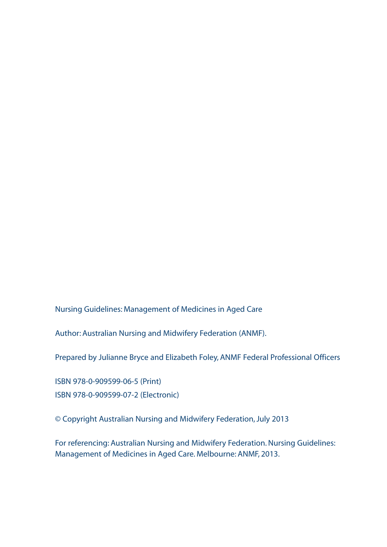Nursing Guidelines: Management of Medicines in Aged Care

Author: Australian Nursing and Midwifery Federation (ANMF).

Prepared by Julianne Bryce and Elizabeth Foley, ANMF Federal Professional Officers

ISBN 978-0-909599-06-5 (Print) ISBN 978-0-909599-07-2 (Electronic)

© Copyright Australian Nursing and Midwifery Federation, July 2013

For referencing: Australian Nursing and Midwifery Federation. Nursing Guidelines: Management of Medicines in Aged Care. Melbourne: ANMF, 2013.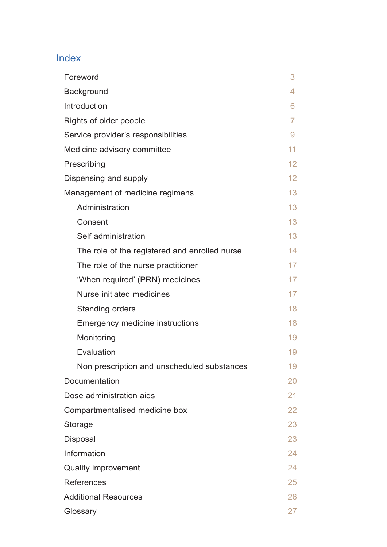# Index

| Foreword                                      | 3               |
|-----------------------------------------------|-----------------|
| Background                                    | 4               |
| Introduction                                  | 6               |
| Rights of older people                        | $\overline{7}$  |
| Service provider's responsibilities           | 9               |
| Medicine advisory committee                   | 11              |
| Prescribing                                   | 12              |
| Dispensing and supply                         | 12              |
| Management of medicine regimens               | 13              |
| Administration                                | 13              |
| Consent                                       | 13 <sup>2</sup> |
| Self administration                           | 13              |
| The role of the registered and enrolled nurse | 14              |
| The role of the nurse practitioner            | 17              |
| 'When required' (PRN) medicines               | 17              |
| Nurse initiated medicines                     | 17              |
| Standing orders                               | 18              |
| Emergency medicine instructions               | 18              |
| Monitoring                                    | 19              |
| Evaluation                                    | 19              |
| Non prescription and unscheduled substances   | 19              |
| Documentation                                 | 20              |
| Dose administration aids                      | 21              |
| Compartmentalised medicine box                | 22              |
| Storage                                       | 23              |
| Disposal                                      | 23              |
| Information                                   | 24              |
| Quality improvement                           | 24              |
| References                                    | 25              |
| <b>Additional Resources</b>                   | 26              |
| Glossary                                      | 27              |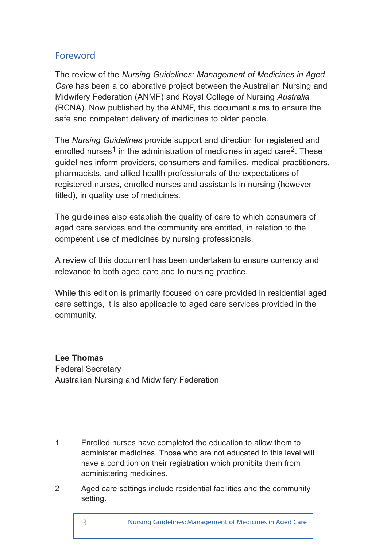# Foreword

The review of the *Nursing Guidelines: Management of Medicines in Aged Care* has been a collaborative project between the Australian Nursing and Midwifery Federation (ANMF) and Royal College *of* Nursing *Australia* (RCNA). Now published by the ANMF, this document aims to ensure the safe and competent delivery of medicines to older people.

The *Nursing Guidelines* provide support and direction for registered and enrolled nurses<sup>1</sup> in the administration of medicines in aged care<sup>2</sup>. These guidelines inform providers, consumers and families, medical practitioners, pharmacists, and allied health professionals of the expectations of registered nurses, enrolled nurses and assistants in nursing (however titled), in quality use of medicines.

The guidelines also establish the quality of care to which consumers of aged care services and the community are entitled, in relation to the competent use of medicines by nursing professionals.

A review of this document has been undertaken to ensure currency and relevance to both aged care and to nursing practice.

While this edition is primarily focused on care provided in residential aged care settings, it is also applicable to aged care services provided in the community.

**Lee Thomas** Federal Secretary Australian Nursing and Midwifery Federation

1 Enrolled nurses have completed the education to allow them to administer medicines. Those who are not educated to this level will have a condition on their registration which prohibits them from administering medicines.

2 Aged care settings include residential facilities and the community setting.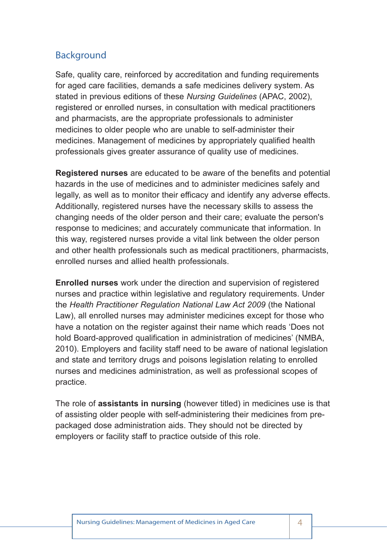# Background

Safe, quality care, reinforced by accreditation and funding requirements for aged care facilities, demands a safe medicines delivery system. As stated in previous editions of these *Nursing Guidelines* (APAC, 2002), registered or enrolled nurses, in consultation with medical practitioners and pharmacists, are the appropriate professionals to administer medicines to older people who are unable to self-administer their medicines. Management of medicines by appropriately qualified health professionals gives greater assurance of quality use of medicines.

**Registered nurses** are educated to be aware of the benefits and potential hazards in the use of medicines and to administer medicines safely and legally, as well as to monitor their efficacy and identify any adverse effects. Additionally, registered nurses have the necessary skills to assess the changing needs of the older person and their care; evaluate the person's response to medicines; and accurately communicate that information. In this way, registered nurses provide a vital link between the older person and other health professionals such as medical practitioners, pharmacists, enrolled nurses and allied health professionals.

**Enrolled nurses** work under the direction and supervision of registered nurses and practice within legislative and regulatory requirements. Under the *Health Practitioner Regulation National Law Act 2009* (the National Law), all enrolled nurses may administer medicines except for those who have a notation on the register against their name which reads 'Does not hold Board-approved qualification in administration of medicines' (NMBA, 2010). Employers and facility staff need to be aware of national legislation and state and territory drugs and poisons legislation relating to enrolled nurses and medicines administration, as well as professional scopes of practice.

The role of **assistants in nursing** (however titled) in medicines use is that of assisting older people with self-administering their medicines from prepackaged dose administration aids. They should not be directed by employers or facility staff to practice outside of this role.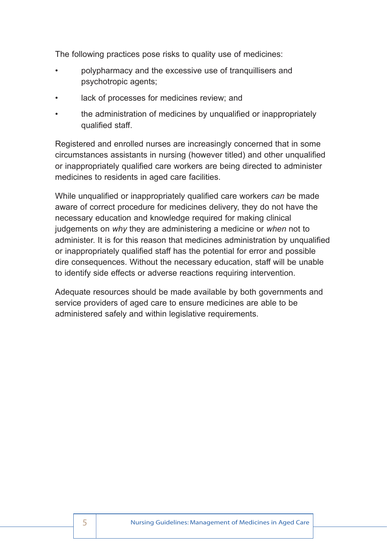The following practices pose risks to quality use of medicines:

- polypharmacy and the excessive use of tranquillisers and psychotropic agents;
- lack of processes for medicines review; and
- the administration of medicines by unqualified or inappropriately qualified staff.

Registered and enrolled nurses are increasingly concerned that in some circumstances assistants in nursing (however titled) and other unqualified or inappropriately qualified care workers are being directed to administer medicines to residents in aged care facilities.

While unqualified or inappropriately qualified care workers *can* be made aware of correct procedure for medicines delivery, they do not have the necessary education and knowledge required for making clinical judgements on *why* they are administering a medicine or *when* not to administer. It is for this reason that medicines administration by unqualified or inappropriately qualified staff has the potential for error and possible dire consequences. Without the necessary education, staff will be unable to identify side effects or adverse reactions requiring intervention.

Adequate resources should be made available by both governments and service providers of aged care to ensure medicines are able to be administered safely and within legislative requirements.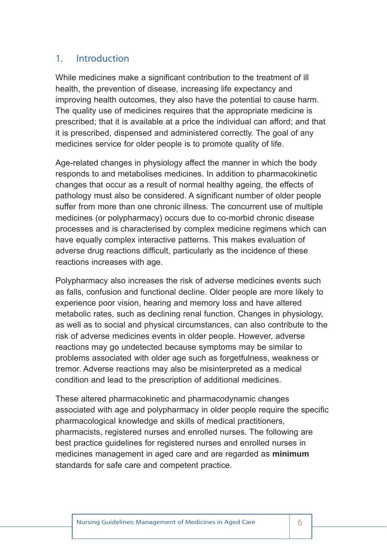## 1. Introduction

While medicines make a significant contribution to the treatment of ill health, the prevention of disease, increasing life expectancy and improving health outcomes, they also have the potential to cause harm. The quality use of medicines requires that the appropriate medicine is prescribed; that it is available at a price the individual can afford; and that it is prescribed, dispensed and administered correctly. The goal of any medicines service for older people is to promote quality of life.

Age-related changes in physiology affect the manner in which the body responds to and metabolises medicines. In addition to pharmacokinetic changes that occur as a result of normal healthy ageing, the effects of pathology must also be considered. A significant number of older people suffer from more than one chronic illness. The concurrent use of multiple medicines (or polypharmacy) occurs due to co-morbid chronic disease processes and is characterised by complex medicine regimens which can have equally complex interactive patterns. This makes evaluation of adverse drug reactions difficult, particularly as the incidence of these reactions increases with age.

Polypharmacy also increases the risk of adverse medicines events such as falls, confusion and functional decline. Older people are more likely to experience poor vision, hearing and memory loss and have altered metabolic rates, such as declining renal function. Changes in physiology, as well as to social and physical circumstances, can also contribute to the risk of adverse medicines events in older people. However, adverse reactions may go undetected because symptoms may be similar to problems associated with older age such as forgetfulness, weakness or tremor. Adverse reactions may also be misinterpreted as a medical condition and lead to the prescription of additional medicines.

These altered pharmacokinetic and pharmacodynamic changes associated with age and polypharmacy in older people require the specific pharmacological knowledge and skills of medical practitioners, pharmacists, registered nurses and enrolled nurses. The following are best practice guidelines for registered nurses and enrolled nurses in medicines management in aged care and are regarded as **minimum** standards for safe care and competent practice.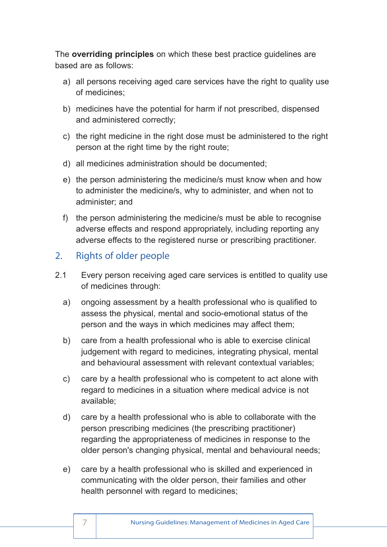The **overriding principles** on which these best practice guidelines are based are as follows:

- a) all persons receiving aged care services have the right to quality use of medicines;
- b) medicines have the potential for harm if not prescribed, dispensed and administered correctly;
- c) the right medicine in the right dose must be administered to the right person at the right time by the right route;
- d) all medicines administration should be documented;
- e) the person administering the medicine/s must know when and how to administer the medicine/s, why to administer, and when not to administer; and
- f) the person administering the medicine/s must be able to recognise adverse effects and respond appropriately, including reporting any adverse effects to the registered nurse or prescribing practitioner.

# 2. Rights of older people

- 2.1 Every person receiving aged care services is entitled to quality use of medicines through:
	- a) ongoing assessment by a health professional who is qualified to assess the physical, mental and socio-emotional status of the person and the ways in which medicines may affect them;
	- b) care from a health professional who is able to exercise clinical judgement with regard to medicines, integrating physical, mental and behavioural assessment with relevant contextual variables;
	- c) care by a health professional who is competent to act alone with regard to medicines in a situation where medical advice is not available;
	- d) care by a health professional who is able to collaborate with the person prescribing medicines (the prescribing practitioner) regarding the appropriateness of medicines in response to the older person's changing physical, mental and behavioural needs;
	- e) care by a health professional who is skilled and experienced in communicating with the older person, their families and other health personnel with regard to medicines;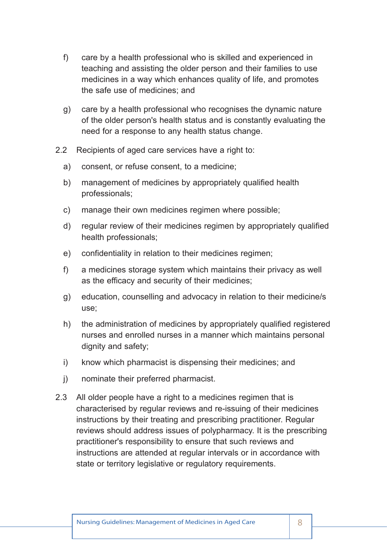- f) care by a health professional who is skilled and experienced in teaching and assisting the older person and their families to use medicines in a way which enhances quality of life, and promotes the safe use of medicines; and
- g) care by a health professional who recognises the dynamic nature of the older person's health status and is constantly evaluating the need for a response to any health status change.
- 2.2 Recipients of aged care services have a right to:
	- a) consent, or refuse consent, to a medicine;
	- b) management of medicines by appropriately qualified health professionals;
	- c) manage their own medicines regimen where possible;
	- d) regular review of their medicines regimen by appropriately qualified health professionals;
	- e) confidentiality in relation to their medicines regimen;
	- f) a medicines storage system which maintains their privacy as well as the efficacy and security of their medicines;
	- g) education, counselling and advocacy in relation to their medicine/s use;
	- h) the administration of medicines by appropriately qualified registered nurses and enrolled nurses in a manner which maintains personal dignity and safety;
	- i) know which pharmacist is dispensing their medicines; and
	- j) nominate their preferred pharmacist.
- 2.3 All older people have a right to a medicines regimen that is characterised by regular reviews and re-issuing of their medicines instructions by their treating and prescribing practitioner. Regular reviews should address issues of polypharmacy. It is the prescribing practitioner's responsibility to ensure that such reviews and instructions are attended at regular intervals or in accordance with state or territory legislative or regulatory requirements.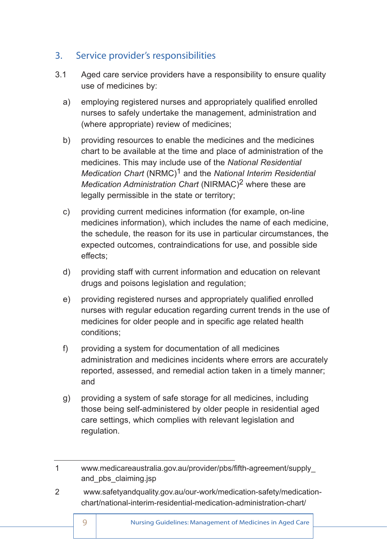# 3. Service provider's responsibilities

- 3.1 Aged care service providers have a responsibility to ensure quality use of medicines by:
	- a) employing registered nurses and appropriately qualified enrolled nurses to safely undertake the management, administration and (where appropriate) review of medicines;
	- b) providing resources to enable the medicines and the medicines chart to be available at the time and place of administration of the medicines. This may include use of the *National Residential Medication Chart* (NRMC)1 and the *National Interim Residential Medication Administration Chart* (NIRMAC)2 where these are legally permissible in the state or territory;
	- c) providing current medicines information (for example, on-line medicines information), which includes the name of each medicine, the schedule, the reason for its use in particular circumstances, the expected outcomes, contraindications for use, and possible side effects;
	- d) providing staff with current information and education on relevant drugs and poisons legislation and regulation;
	- e) providing registered nurses and appropriately qualified enrolled nurses with regular education regarding current trends in the use of medicines for older people and in specific age related health conditions;
	- f) providing a system for documentation of all medicines administration and medicines incidents where errors are accurately reported, assessed, and remedial action taken in a timely manner; and
	- g) providing a system of safe storage for all medicines, including those being self-administered by older people in residential aged care settings, which complies with relevant legislation and regulation.
- 1 www.medicareaustralia.gov.au/provider/pbs/fifth-agreement/supply\_ and\_pbs\_claiming.jsp
- 2 www.safetyandquality.gov.au/our-work/medication-safety/medication chart/national-interim-residential-medication-administration-chart/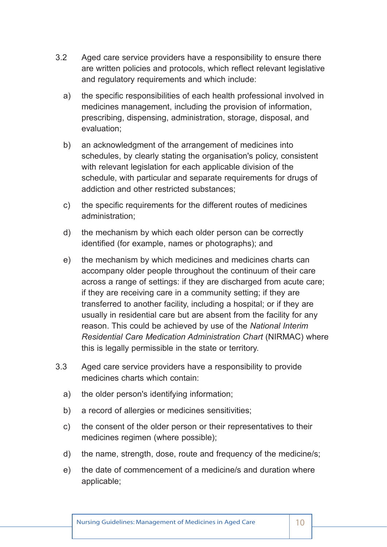- 3.2 Aged care service providers have a responsibility to ensure there are written policies and protocols, which reflect relevant legislative and regulatory requirements and which include:
	- a) the specific responsibilities of each health professional involved in medicines management, including the provision of information, prescribing, dispensing, administration, storage, disposal, and evaluation;
	- b) an acknowledgment of the arrangement of medicines into schedules, by clearly stating the organisation's policy, consistent with relevant legislation for each applicable division of the schedule, with particular and separate requirements for drugs of addiction and other restricted substances;
	- c) the specific requirements for the different routes of medicines administration;
	- d) the mechanism by which each older person can be correctly identified (for example, names or photographs); and
	- e) the mechanism by which medicines and medicines charts can accompany older people throughout the continuum of their care across a range of settings: if they are discharged from acute care; if they are receiving care in a community setting; if they are transferred to another facility, including a hospital; or if they are usually in residential care but are absent from the facility for any reason. This could be achieved by use of the *National Interim Residential Care Medication Administration Chart* (NIRMAC) where this is legally permissible in the state or territory.
- 3.3 Aged care service providers have a responsibility to provide medicines charts which contain:
	- a) the older person's identifying information;
	- b) a record of allergies or medicines sensitivities;
	- c) the consent of the older person or their representatives to their medicines regimen (where possible);
	- d) the name, strength, dose, route and frequency of the medicine/s;
	- e) the date of commencement of a medicine/s and duration where applicable;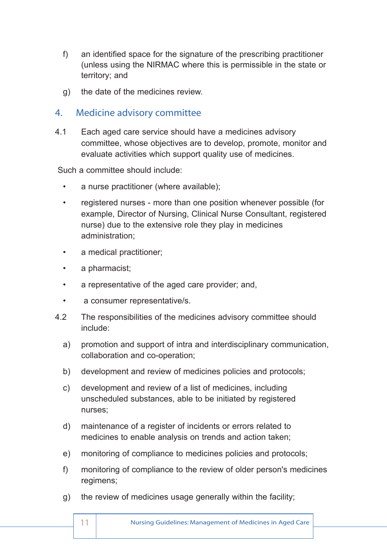- f) an identified space for the signature of the prescribing practitioner (unless using the NIRMAC where this is permissible in the state or territory; and
- g) the date of the medicines review.

## 4. Medicine advisory committee

4.1 Each aged care service should have a medicines advisory committee, whose objectives are to develop, promote, monitor and evaluate activities which support quality use of medicines.

Such a committee should include:

- a nurse practitioner (where available);
- registered nurses more than one position whenever possible (for example, Director of Nursing, Clinical Nurse Consultant, registered nurse) due to the extensive role they play in medicines administration;
- a medical practitioner;
- a pharmacist;
- a representative of the aged care provider; and,
- a consumer representative/s.
- 4.2 The responsibilities of the medicines advisory committee should include:
	- a) promotion and support of intra and interdisciplinary communication, collaboration and co-operation;
	- b) development and review of medicines policies and protocols;
	- c) development and review of a list of medicines, including unscheduled substances, able to be initiated by registered nurses;
	- d) maintenance of a register of incidents or errors related to medicines to enable analysis on trends and action taken;
	- e) monitoring of compliance to medicines policies and protocols;
	- f) monitoring of compliance to the review of older person's medicines regimens;
	- g) the review of medicines usage generally within the facility;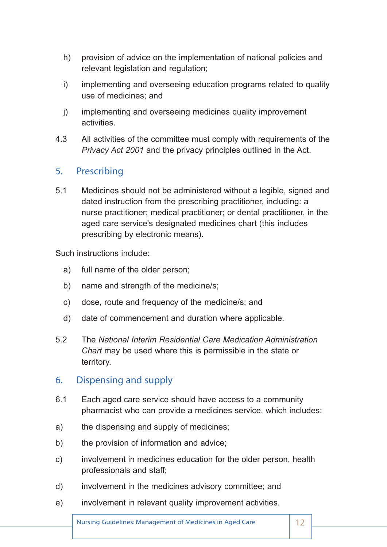- h) provision of advice on the implementation of national policies and relevant legislation and regulation:
- i) implementing and overseeing education programs related to quality use of medicines; and
- j) implementing and overseeing medicines quality improvement activities.
- 4.3 All activities of the committee must comply with requirements of the *Privacy Act 2001* and the privacy principles outlined in the Act.

## 5. Prescribing

5.1 Medicines should not be administered without a legible, signed and dated instruction from the prescribing practitioner, including: a nurse practitioner; medical practitioner; or dental practitioner, in the aged care service's designated medicines chart (this includes prescribing by electronic means).

Such instructions include:

- a) full name of the older person;
- b) name and strength of the medicine/s;
- c) dose, route and frequency of the medicine/s; and
- d) date of commencement and duration where applicable.
- 5.2 The *National Interim Residential Care Medication Administration Chart* may be used where this is permissible in the state or territory.

## 6. Dispensing and supply

- 6.1 Each aged care service should have access to a community pharmacist who can provide a medicines service, which includes:
- a) the dispensing and supply of medicines;
- b) the provision of information and advice:
- c) involvement in medicines education for the older person, health professionals and staff;
- d) involvement in the medicines advisory committee; and
- e) involvement in relevant quality improvement activities.

Nursing Guidelines: Management of Medicines in Aged Care | 12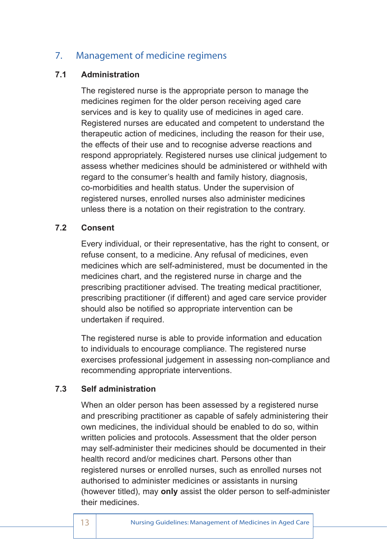# 7. Management of medicine regimens

#### **7.1 Administration**

The registered nurse is the appropriate person to manage the medicines regimen for the older person receiving aged care services and is key to quality use of medicines in aged care. Registered nurses are educated and competent to understand the therapeutic action of medicines, including the reason for their use, the effects of their use and to recognise adverse reactions and respond appropriately. Registered nurses use clinical judgement to assess whether medicines should be administered or withheld with regard to the consumer's health and family history, diagnosis, co-morbidities and health status. Under the supervision of registered nurses, enrolled nurses also administer medicines unless there is a notation on their registration to the contrary.

#### **7.2 Consent**

Every individual, or their representative, has the right to consent, or refuse consent, to a medicine. Any refusal of medicines, even medicines which are self-administered, must be documented in the medicines chart, and the registered nurse in charge and the prescribing practitioner advised. The treating medical practitioner, prescribing practitioner (if different) and aged care service provider should also be notified so appropriate intervention can be undertaken if required.

The registered nurse is able to provide information and education to individuals to encourage compliance. The registered nurse exercises professional judgement in assessing non-compliance and recommending appropriate interventions.

#### **7.3 Self administration**

When an older person has been assessed by a registered nurse and prescribing practitioner as capable of safely administering their own medicines, the individual should be enabled to do so, within written policies and protocols. Assessment that the older person may self-administer their medicines should be documented in their health record and/or medicines chart. Persons other than registered nurses or enrolled nurses, such as enrolled nurses not authorised to administer medicines or assistants in nursing (however titled), may **only** assist the older person to self-administer their medicines.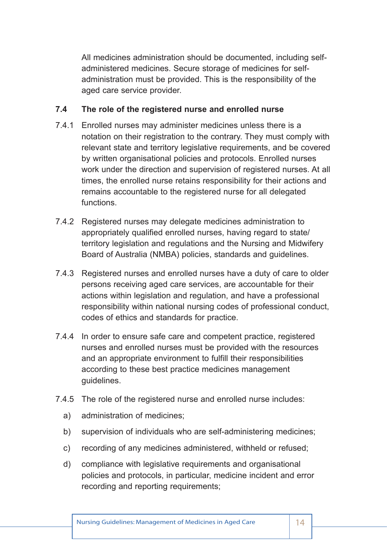All medicines administration should be documented, including selfadministered medicines. Secure storage of medicines for selfadministration must be provided. This is the responsibility of the aged care service provider.

#### **7.4 The role of the registered nurse and enrolled nurse**

- 7.4.1 Enrolled nurses may administer medicines unless there is a notation on their registration to the contrary. They must comply with relevant state and territory legislative requirements, and be covered by written organisational policies and protocols. Enrolled nurses work under the direction and supervision of registered nurses. At all times, the enrolled nurse retains responsibility for their actions and remains accountable to the registered nurse for all delegated functions.
- 7.4.2 Registered nurses may delegate medicines administration to appropriately qualified enrolled nurses, having regard to state/ territory legislation and regulations and the Nursing and Midwifery Board of Australia (NMBA) policies, standards and guidelines.
- 7.4.3 Registered nurses and enrolled nurses have a duty of care to older persons receiving aged care services, are accountable for their actions within legislation and regulation, and have a professional responsibility within national nursing codes of professional conduct, codes of ethics and standards for practice.
- 7.4.4 In order to ensure safe care and competent practice, registered nurses and enrolled nurses must be provided with the resources and an appropriate environment to fulfill their responsibilities according to these best practice medicines management guidelines.
- 7.4.5 The role of the registered nurse and enrolled nurse includes:
	- a) administration of medicines;
	- b) supervision of individuals who are self-administering medicines;
	- c) recording of any medicines administered, withheld or refused;
	- d) compliance with legislative requirements and organisational policies and protocols, in particular, medicine incident and error recording and reporting requirements;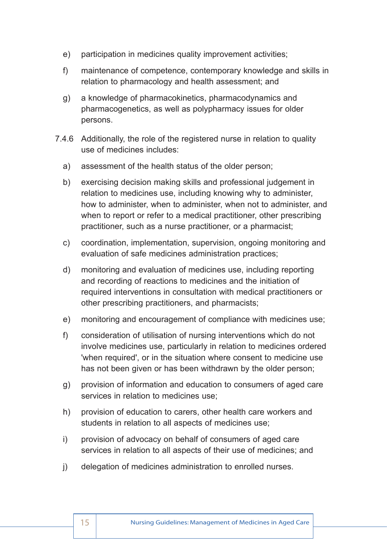- e) participation in medicines quality improvement activities;
- f) maintenance of competence, contemporary knowledge and skills in relation to pharmacology and health assessment; and
- g) a knowledge of pharmacokinetics, pharmacodynamics and pharmacogenetics, as well as polypharmacy issues for older persons.
- 7.4.6 Additionally, the role of the registered nurse in relation to quality use of medicines includes:
	- a) assessment of the health status of the older person;
	- b) exercising decision making skills and professional judgement in relation to medicines use, including knowing why to administer, how to administer, when to administer, when not to administer, and when to report or refer to a medical practitioner, other prescribing practitioner, such as a nurse practitioner, or a pharmacist;
	- c) coordination, implementation, supervision, ongoing monitoring and evaluation of safe medicines administration practices;
	- d) monitoring and evaluation of medicines use, including reporting and recording of reactions to medicines and the initiation of required interventions in consultation with medical practitioners or other prescribing practitioners, and pharmacists;
	- e) monitoring and encouragement of compliance with medicines use;
	- f) consideration of utilisation of nursing interventions which do not involve medicines use, particularly in relation to medicines ordered 'when required', or in the situation where consent to medicine use has not been given or has been withdrawn by the older person;
	- g) provision of information and education to consumers of aged care services in relation to medicines use;
	- h) provision of education to carers, other health care workers and students in relation to all aspects of medicines use;
	- i) provision of advocacy on behalf of consumers of aged care services in relation to all aspects of their use of medicines; and
	- j) delegation of medicines administration to enrolled nurses.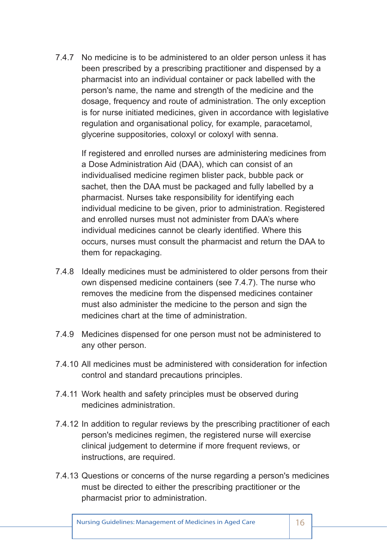7.4.7 No medicine is to be administered to an older person unless it has been prescribed by a prescribing practitioner and dispensed by a pharmacist into an individual container or pack labelled with the person's name, the name and strength of the medicine and the dosage, frequency and route of administration. The only exception is for nurse initiated medicines, given in accordance with legislative regulation and organisational policy, for example, paracetamol, glycerine suppositories, coloxyl or coloxyl with senna.

 If registered and enrolled nurses are administering medicines from a Dose Administration Aid (DAA), which can consist of an individualised medicine regimen blister pack, bubble pack or sachet, then the DAA must be packaged and fully labelled by a pharmacist. Nurses take responsibility for identifying each individual medicine to be given, prior to administration. Registered and enrolled nurses must not administer from DAA's where individual medicines cannot be clearly identified. Where this occurs, nurses must consult the pharmacist and return the DAA to them for repackaging.

- 7.4.8 Ideally medicines must be administered to older persons from their own dispensed medicine containers (see 7.4.7). The nurse who removes the medicine from the dispensed medicines container must also administer the medicine to the person and sign the medicines chart at the time of administration.
- 7.4.9 Medicines dispensed for one person must not be administered to any other person.
- 7.4.10 All medicines must be administered with consideration for infection control and standard precautions principles.
- 7.4.11 Work health and safety principles must be observed during medicines administration.
- 7.4.12 In addition to regular reviews by the prescribing practitioner of each person's medicines regimen, the registered nurse will exercise clinical judgement to determine if more frequent reviews, or instructions, are required.
- 7.4.13 Questions or concerns of the nurse regarding a person's medicines must be directed to either the prescribing practitioner or the pharmacist prior to administration.

Nursing Guidelines: Management of Medicines in Aged Care | 16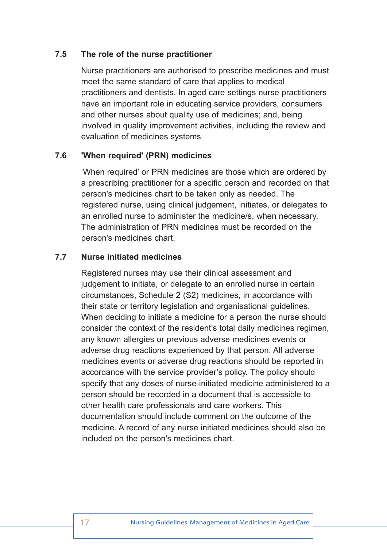#### **7.5 The role of the nurse practitioner**

Nurse practitioners are authorised to prescribe medicines and must meet the same standard of care that applies to medical practitioners and dentists. In aged care settings nurse practitioners have an important role in educating service providers, consumers and other nurses about quality use of medicines; and, being involved in quality improvement activities, including the review and evaluation of medicines systems.

#### **7.6 'When required' (PRN) medicines**

'When required' or PRN medicines are those which are ordered by a prescribing practitioner for a specific person and recorded on that person's medicines chart to be taken only as needed. The registered nurse, using clinical judgement, initiates, or delegates to an enrolled nurse to administer the medicine/s, when necessary. The administration of PRN medicines must be recorded on the person's medicines chart.

#### **7.7 Nurse initiated medicines**

Registered nurses may use their clinical assessment and judgement to initiate, or delegate to an enrolled nurse in certain circumstances, Schedule 2 (S2) medicines, in accordance with their state or territory legislation and organisational guidelines. When deciding to initiate a medicine for a person the nurse should consider the context of the resident's total daily medicines regimen, any known allergies or previous adverse medicines events or adverse drug reactions experienced by that person. All adverse medicines events or adverse drug reactions should be reported in accordance with the service provider's policy. The policy should specify that any doses of nurse-initiated medicine administered to a person should be recorded in a document that is accessible to other health care professionals and care workers. This documentation should include comment on the outcome of the medicine. A record of any nurse initiated medicines should also be included on the person's medicines chart.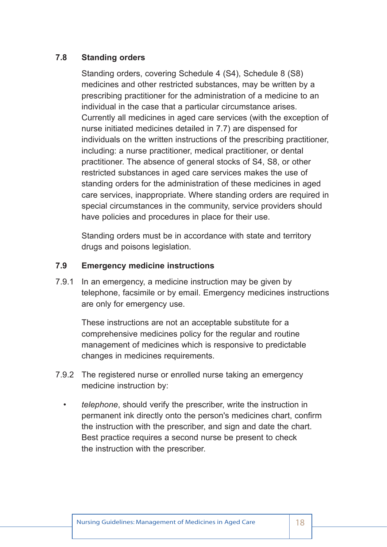#### **7.8 Standing orders**

Standing orders, covering Schedule 4 (S4), Schedule 8 (S8) medicines and other restricted substances, may be written by a prescribing practitioner for the administration of a medicine to an individual in the case that a particular circumstance arises. Currently all medicines in aged care services (with the exception of nurse initiated medicines detailed in 7.7) are dispensed for individuals on the written instructions of the prescribing practitioner, including: a nurse practitioner, medical practitioner, or dental practitioner. The absence of general stocks of S4, S8, or other restricted substances in aged care services makes the use of standing orders for the administration of these medicines in aged care services, inappropriate. Where standing orders are required in special circumstances in the community, service providers should have policies and procedures in place for their use.

Standing orders must be in accordance with state and territory drugs and poisons legislation.

#### **7.9 Emergency medicine instructions**

7.9.1 In an emergency, a medicine instruction may be given by telephone, facsimile or by email. Emergency medicines instructions are only for emergency use.

 These instructions are not an acceptable substitute for a comprehensive medicines policy for the regular and routine management of medicines which is responsive to predictable changes in medicines requirements.

- 7.9.2 The registered nurse or enrolled nurse taking an emergency medicine instruction by:
	- *telephone*, should verify the prescriber, write the instruction in permanent ink directly onto the person's medicines chart, confirm the instruction with the prescriber, and sign and date the chart. Best practice requires a second nurse be present to check the instruction with the prescriber.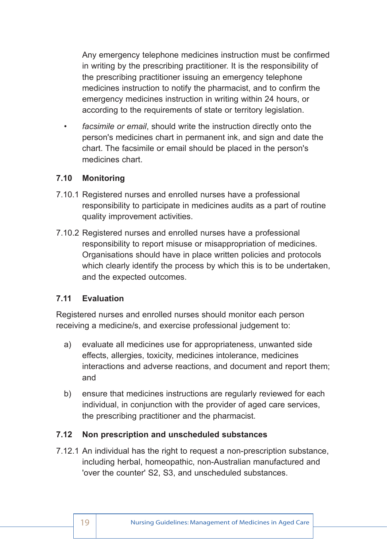Any emergency telephone medicines instruction must be confirmed in writing by the prescribing practitioner. It is the responsibility of the prescribing practitioner issuing an emergency telephone medicines instruction to notify the pharmacist, and to confirm the emergency medicines instruction in writing within 24 hours, or according to the requirements of state or territory legislation.

• *facsimile or email*, should write the instruction directly onto the person's medicines chart in permanent ink, and sign and date the chart. The facsimile or email should be placed in the person's medicines chart.

#### **7.10 Monitoring**

- 7.10.1 Registered nurses and enrolled nurses have a professional responsibility to participate in medicines audits as a part of routine quality improvement activities.
- 7.10.2 Registered nurses and enrolled nurses have a professional responsibility to report misuse or misappropriation of medicines. Organisations should have in place written policies and protocols which clearly identify the process by which this is to be undertaken, and the expected outcomes.

#### **7.11 Evaluation**

Registered nurses and enrolled nurses should monitor each person receiving a medicine/s, and exercise professional judgement to:

- a) evaluate all medicines use for appropriateness, unwanted side effects, allergies, toxicity, medicines intolerance, medicines interactions and adverse reactions, and document and report them; and
- b) ensure that medicines instructions are regularly reviewed for each individual, in conjunction with the provider of aged care services, the prescribing practitioner and the pharmacist.

#### **7.12 Non prescription and unscheduled substances**

7.12.1 An individual has the right to request a non-prescription substance, including herbal, homeopathic, non-Australian manufactured and 'over the counter' S2, S3, and unscheduled substances.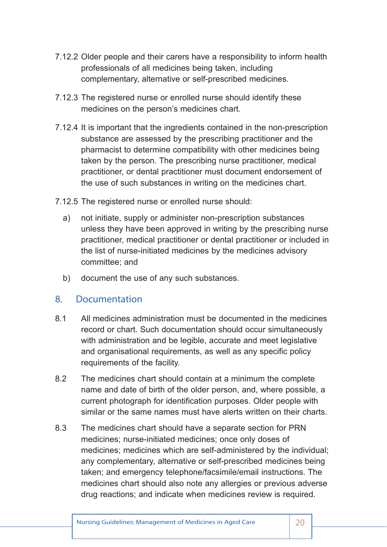- 7.12.2 Older people and their carers have a responsibility to inform health professionals of all medicines being taken, including complementary, alternative or self-prescribed medicines.
- 7.12.3 The registered nurse or enrolled nurse should identify these medicines on the person's medicines chart.
- 7.12.4 It is important that the ingredients contained in the non-prescription substance are assessed by the prescribing practitioner and the pharmacist to determine compatibility with other medicines being taken by the person. The prescribing nurse practitioner, medical practitioner, or dental practitioner must document endorsement of the use of such substances in writing on the medicines chart.
- 7.12.5 The registered nurse or enrolled nurse should:
	- a) not initiate, supply or administer non-prescription substances unless they have been approved in writing by the prescribing nurse practitioner, medical practitioner or dental practitioner or included in the list of nurse-initiated medicines by the medicines advisory committee; and
	- b) document the use of any such substances.

## 8. Documentation

- 8.1 All medicines administration must be documented in the medicines record or chart. Such documentation should occur simultaneously with administration and be legible, accurate and meet legislative and organisational requirements, as well as any specific policy requirements of the facility.
- 8.2 The medicines chart should contain at a minimum the complete name and date of birth of the older person, and, where possible, a current photograph for identification purposes. Older people with similar or the same names must have alerts written on their charts.
- 8.3 The medicines chart should have a separate section for PRN medicines; nurse-initiated medicines; once only doses of medicines; medicines which are self-administered by the individual; any complementary, alternative or self-prescribed medicines being taken; and emergency telephone/facsimile/email instructions. The medicines chart should also note any allergies or previous adverse drug reactions; and indicate when medicines review is required.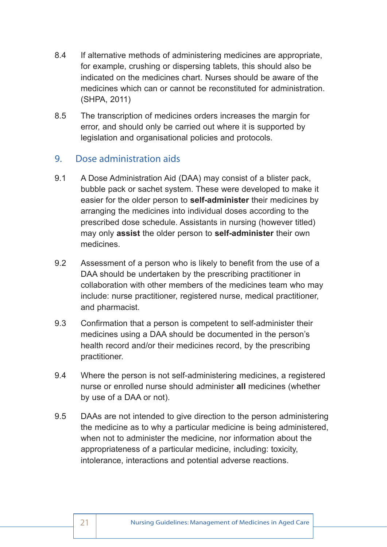- 8.4 If alternative methods of administering medicines are appropriate, for example, crushing or dispersing tablets, this should also be indicated on the medicines chart. Nurses should be aware of the medicines which can or cannot be reconstituted for administration. (SHPA, 2011)
- 8.5 The transcription of medicines orders increases the margin for error, and should only be carried out where it is supported by legislation and organisational policies and protocols.

## 9. Dose administration aids

- 9.1 A Dose Administration Aid (DAA) may consist of a blister pack, bubble pack or sachet system. These were developed to make it easier for the older person to **self-administer** their medicines by arranging the medicines into individual doses according to the prescribed dose schedule. Assistants in nursing (however titled) may only **assist** the older person to **self-administer** their own medicines.
- 9.2 Assessment of a person who is likely to benefit from the use of a DAA should be undertaken by the prescribing practitioner in collaboration with other members of the medicines team who may include: nurse practitioner, registered nurse, medical practitioner, and pharmacist.
- 9.3 Confirmation that a person is competent to self-administer their medicines using a DAA should be documented in the person's health record and/or their medicines record, by the prescribing practitioner.
- 9.4 Where the person is not self-administering medicines, a registered nurse or enrolled nurse should administer **all** medicines (whether by use of a DAA or not).
- 9.5 DAAs are not intended to give direction to the person administering the medicine as to why a particular medicine is being administered, when not to administer the medicine, nor information about the appropriateness of a particular medicine, including: toxicity, intolerance, interactions and potential adverse reactions.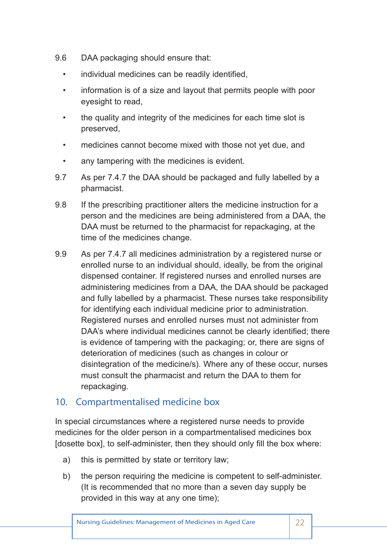- 9.6 DAA packaging should ensure that:
	- individual medicines can be readily identified,
	- information is of a size and layout that permits people with poor eyesight to read,
	- the quality and integrity of the medicines for each time slot is preserved,
	- medicines cannot become mixed with those not yet due, and
	- any tampering with the medicines is evident.
- 9.7 As per 7.4.7 the DAA should be packaged and fully labelled by a pharmacist.
- 9.8 If the prescribing practitioner alters the medicine instruction for a person and the medicines are being administered from a DAA, the DAA must be returned to the pharmacist for repackaging, at the time of the medicines change.
- 9.9 As per 7.4.7 all medicines administration by a registered nurse or enrolled nurse to an individual should, ideally, be from the original dispensed container. If registered nurses and enrolled nurses are administering medicines from a DAA, the DAA should be packaged and fully labelled by a pharmacist. These nurses take responsibility for identifying each individual medicine prior to administration. Registered nurses and enrolled nurses must not administer from DAA's where individual medicines cannot be clearly identified; there is evidence of tampering with the packaging; or, there are signs of deterioration of medicines (such as changes in colour or disintegration of the medicine/s). Where any of these occur, nurses must consult the pharmacist and return the DAA to them for repackaging.

## 10. Compartmentalised medicine box

In special circumstances where a registered nurse needs to provide medicines for the older person in a compartmentalised medicines box [dosette box], to self-administer, then they should only fill the box where:

- a) this is permitted by state or territory law;
- b) the person requiring the medicine is competent to self-administer. (It is recommended that no more than a seven day supply be provided in this way at any one time);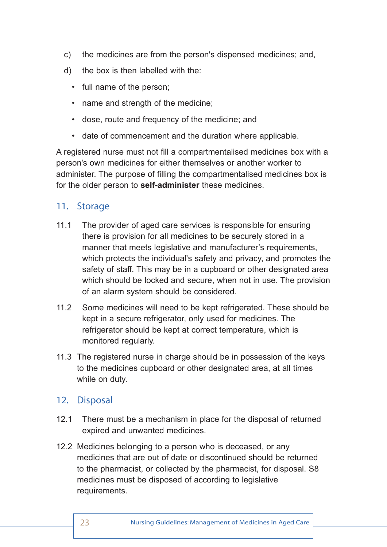- c) the medicines are from the person's dispensed medicines; and,
- d) the box is then labelled with the:
	- full name of the person;
	- name and strength of the medicine;
	- dose, route and frequency of the medicine; and
	- date of commencement and the duration where applicable.

A registered nurse must not fill a compartmentalised medicines box with a person's own medicines for either themselves or another worker to administer. The purpose of filling the compartmentalised medicines box is for the older person to **self-administer** these medicines.

## 11. Storage

- 11.1 The provider of aged care services is responsible for ensuring there is provision for all medicines to be securely stored in a manner that meets legislative and manufacturer's requirements, which protects the individual's safety and privacy, and promotes the safety of staff. This may be in a cupboard or other designated area which should be locked and secure, when not in use. The provision of an alarm system should be considered.
- 11.2 Some medicines will need to be kept refrigerated. These should be kept in a secure refrigerator, only used for medicines. The refrigerator should be kept at correct temperature, which is monitored regularly.
- 11.3 The registered nurse in charge should be in possession of the keys to the medicines cupboard or other designated area, at all times while on duty.

## 12. Disposal

- 12.1 There must be a mechanism in place for the disposal of returned expired and unwanted medicines.
- 12.2 Medicines belonging to a person who is deceased, or any medicines that are out of date or discontinued should be returned to the pharmacist, or collected by the pharmacist, for disposal. S8 medicines must be disposed of according to legislative requirements.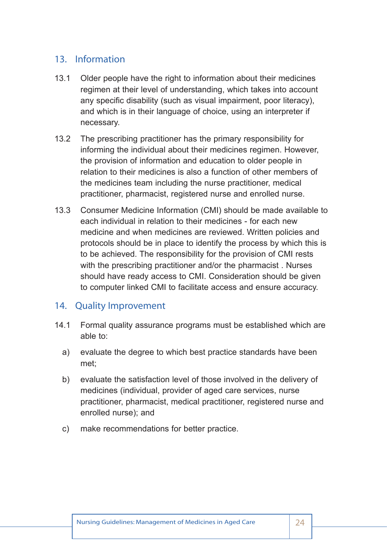# 13. Information

- 13.1 Older people have the right to information about their medicines regimen at their level of understanding, which takes into account any specific disability (such as visual impairment, poor literacy), and which is in their language of choice, using an interpreter if necessary.
- 13.2 The prescribing practitioner has the primary responsibility for informing the individual about their medicines regimen. However, the provision of information and education to older people in relation to their medicines is also a function of other members of the medicines team including the nurse practitioner, medical practitioner, pharmacist, registered nurse and enrolled nurse.
- 13.3 Consumer Medicine Information (CMI) should be made available to each individual in relation to their medicines - for each new medicine and when medicines are reviewed. Written policies and protocols should be in place to identify the process by which this is to be achieved. The responsibility for the provision of CMI rests with the prescribing practitioner and/or the pharmacist . Nurses should have ready access to CMI. Consideration should be given to computer linked CMI to facilitate access and ensure accuracy.

## 14. Quality Improvement

- 14.1 Formal quality assurance programs must be established which are able to:
	- a) evaluate the degree to which best practice standards have been met;
	- b) evaluate the satisfaction level of those involved in the delivery of medicines (individual, provider of aged care services, nurse practitioner, pharmacist, medical practitioner, registered nurse and enrolled nurse); and
	- c) make recommendations for better practice.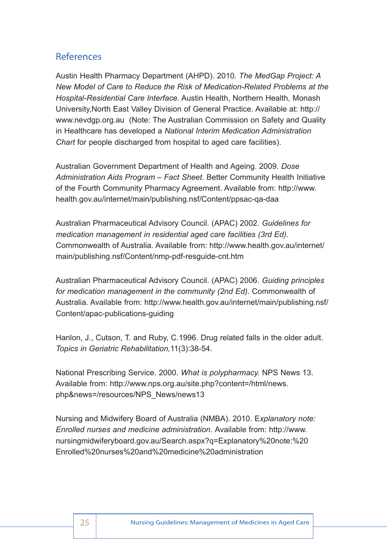# References

Austin Health Pharmacy Department (AHPD). 2010*. The MedGap Project: A New Model of Care to Reduce the Risk of Medication-Related Problems at the Hospital-Residential Care Interface.* Austin Health, Northern Health, Monash University,North East Valley Division of General Practice. Available at: http:// www.nevdgp.org.au (Note: The Australian Commission on Safety and Quality in Healthcare has developed a *National Interim Medication Administration Chart* for people discharged from hospital to aged care facilities).

Australian Government Department of Health and Ageing. 2009. *Dose Administration Aids Program – Fact Sheet.* Better Community Health Initiative of the Fourth Community Pharmacy Agreement. Available from: http://www. health.gov.au/internet/main/publishing.nsf/Content/ppsac-qa-daa

Australian Pharmaceutical Advisory Council. (APAC) 2002. *Guidelines for medication management in residential aged care facilities (3rd Ed).*  Commonwealth of Australia. Available from: http://www.health.gov.au/internet/ main/publishing.nsf/Content/nmp-pdf-resguide-cnt.htm

Australian Pharmaceutical Advisory Council. (APAC) 2006. *Guiding principles for medication management in the community (2nd Ed).* Commonwealth of Australia. Available from: http://www.health.gov.au/internet/main/publishing.nsf/ Content/apac-publications-guiding

Hanlon, J., Cutson, T. and Ruby, C.1996. Drug related falls in the older adult. *Topics in Geriatric Rehabilitation,*11(3):38-54.

National Prescribing Service. 2000. *What is polypharmacy.* NPS News 13. Available from: http://www.nps.org.au/site.php?content=/html/news. php&news=/resources/NPS\_News/news13

Nursing and Midwifery Board of Australia (NMBA). 2010. E*xplanatory note: Enrolled nurses and medicine administration.* Available from: http://www. nursingmidwiferyboard.gov.au/Search.aspx?q=Explanatory%20note:%20 Enrolled%20nurses%20and%20medicine%20administration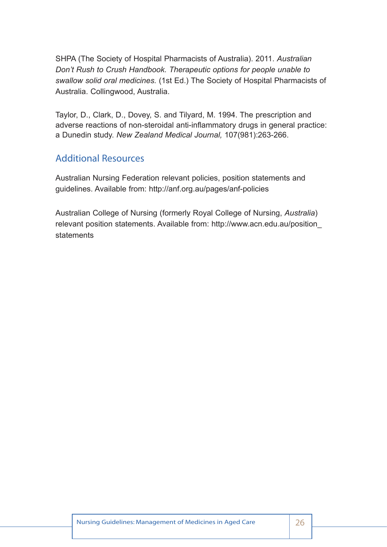SHPA (The Society of Hospital Pharmacists of Australia). 2011. *Australian Don't Rush to Crush Handbook. Therapeutic options for people unable to swallow solid oral medicines.* (1st Ed.) The Society of Hospital Pharmacists of Australia. Collingwood, Australia.

Taylor, D., Clark, D., Dovey, S. and Tilyard, M. 1994. The prescription and adverse reactions of non-steroidal anti-inflammatory drugs in general practice: a Dunedin study. *New Zealand Medical Journal,* 107(981):263-266.

# Additional Resources

Australian Nursing Federation relevant policies, position statements and guidelines. Available from: http://anf.org.au/pages/anf-policies

Australian College of Nursing (formerly Royal College of Nursing, *Australia*) relevant position statements. Available from: http://www.acn.edu.au/position\_ statements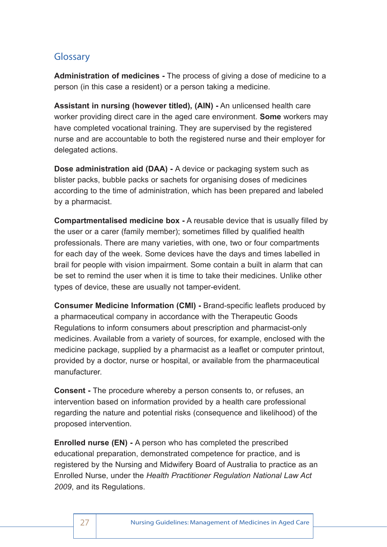# Glossary

**Administration of medicines -** The process of giving a dose of medicine to a person (in this case a resident) or a person taking a medicine.

**Assistant in nursing (however titled), (AIN) -** An unlicensed health care worker providing direct care in the aged care environment. **Some** workers may have completed vocational training. They are supervised by the registered nurse and are accountable to both the registered nurse and their employer for delegated actions.

**Dose administration aid (DAA) -** A device or packaging system such as blister packs, bubble packs or sachets for organising doses of medicines according to the time of administration, which has been prepared and labeled by a pharmacist.

**Compartmentalised medicine box -** A reusable device that is usually filled by the user or a carer (family member); sometimes filled by qualified health professionals. There are many varieties, with one, two or four compartments for each day of the week. Some devices have the days and times labelled in brail for people with vision impairment. Some contain a built in alarm that can be set to remind the user when it is time to take their medicines. Unlike other types of device, these are usually not tamper-evident.

**Consumer Medicine Information (CMI) -** Brand-specific leaflets produced by a pharmaceutical company in accordance with the Therapeutic Goods Regulations to inform consumers about prescription and pharmacist-only medicines. Available from a variety of sources, for example, enclosed with the medicine package, supplied by a pharmacist as a leaflet or computer printout, provided by a doctor, nurse or hospital, or available from the pharmaceutical manufacturer.

**Consent -** The procedure whereby a person consents to, or refuses, an intervention based on information provided by a health care professional regarding the nature and potential risks (consequence and likelihood) of the proposed intervention.

**Enrolled nurse (EN) -** A person who has completed the prescribed educational preparation, demonstrated competence for practice, and is registered by the Nursing and Midwifery Board of Australia to practice as an Enrolled Nurse, under the *Health Practitioner Regulation National Law Act 2009*, and its Regulations.